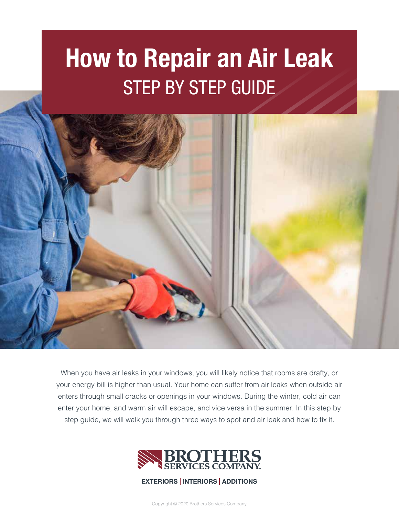# **How to Repair an Air Leak**  STEP BY STEP GUIDE



When you have air leaks in your windows, you will likely notice that rooms are drafty, or your energy bill is higher than usual. Your home can suffer from air leaks when outside air enters through small cracks or openings in your windows. During the winter, cold air can enter your home, and warm air will escape, and vice versa in the summer. In this step by step guide, we will walk you through three ways to spot and air leak and how to fix it.



### **EXTERIORS | INTERIORS | ADDITIONS**

Copyright © 2020 Brothers Services Company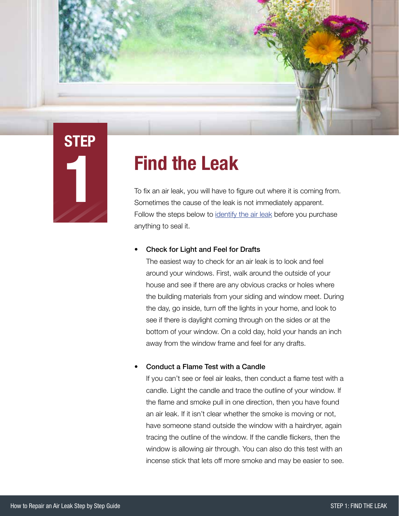

### **Find the Leak**

To fix an air leak, you will have to figure out where it is coming from. Sometimes the cause of the leak is not immediately apparent. Follow the steps below to [identify the air leak b](https://www.brothersservices.com/blog/how-to-detect-and-repair-a-window-air-leak)efore you purchase anything to seal it.

### • Check for Light and Feel for Drafts

The easiest way to check for an air leak is to look and feel around your windows. First, walk around the outside of your house and see if there are any obvious cracks or holes where the building materials from your siding and window meet. During the day, go inside, turn off the lights in your home, and look to see if there is daylight coming through on the sides or at the bottom of your window. On a cold day, hold your hands an inch away from the window frame and feel for any drafts.

### • Conduct a Flame Test with a Candle

If you can't see or feel air leaks, then conduct a flame test with a candle. Light the candle and trace the outline of your window. If the flame and smoke pull in one direction, then you have found an air leak. If it isn't clear whether the smoke is moving or not, have someone stand outside the window with a hairdryer, again tracing the outline of the window. If the candle flickers, then the window is allowing air through. You can also do this test with an incense stick that lets off more smoke and may be easier to see.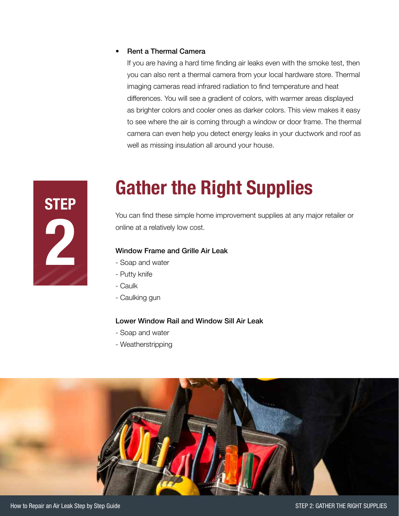#### • Rent a Thermal Camera

If you are having a hard time finding air leaks even with the smoke test, then you can also rent a thermal camera from your local hardware store. Thermal imaging cameras read infrared radiation to find temperature and heat differences. You will see a gradient of colors, with warmer areas displayed as brighter colors and cooler ones as darker colors. This view makes it easy to see where the air is coming through a window or door frame. The thermal camera can even help you detect energy leaks in your ductwork and roof as well as missing insulation all around your house.



### **Gather the Right Supplies**

You can find these simple home improvement supplies at any major retailer or online at a relatively low cost.

### Window Frame and Grille Air Leak

- Soap and water
- Putty knife
- Caulk
- Caulking gun

### Lower Window Rail and Window Sill Air Leak

- Soap and water
- Weatherstripping

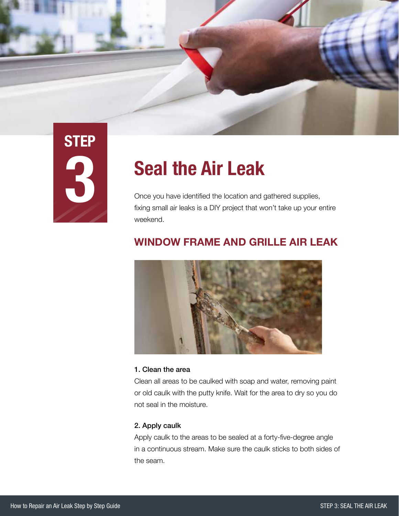

# **STEP 3**

### **Seal the Air Leak**

Once you have identified the location and gathered supplies, fixing small air leaks is a DIY project that won't take up your entire weekend.

### **WINDOW FRAME AND GRILLE AIR LEAK**



### 1. Clean the area

Clean all areas to be caulked with soap and water, removing paint or old caulk with the putty knife. Wait for the area to dry so you do not seal in the moisture.

### 2. Apply caulk

Apply caulk to the areas to be sealed at a forty-five-degree angle in a continuous stream. Make sure the caulk sticks to both sides of the seam.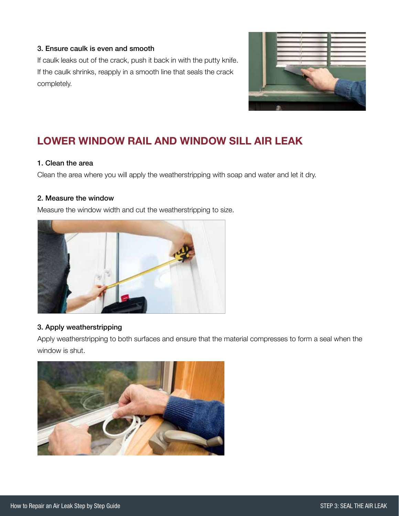### 3. Ensure caulk is even and smooth

If caulk leaks out of the crack, push it back in with the putty knife. If the caulk shrinks, reapply in a smooth line that seals the crack completely.



### **LOWER WINDOW RAIL AND WINDOW SILL AIR LEAK**

### 1. Clean the area

Clean the area where you will apply the weatherstripping with soap and water and let it dry.

#### 2. Measure the window

Measure the window width and cut the weatherstripping to size.



### 3. Apply weatherstripping

Apply weatherstripping to both surfaces and ensure that the material compresses to form a seal when the window is shut.